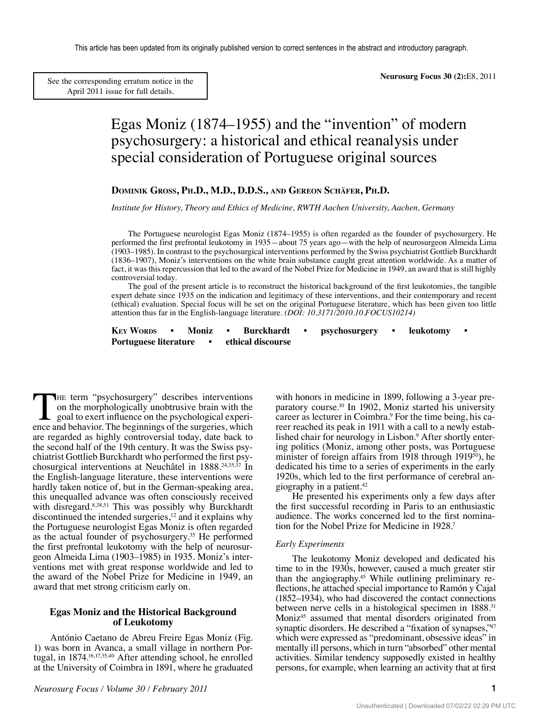[See the corresponding erratum notice in the](http://thejns.org/doi/abs/10.3171/2011.3.FOCUS10214a) April 2011 issue for full details.

# Egas Moniz (1874–1955) and the "invention" of modern psychosurgery: a historical and ethical reanalysis under special consideration of Portuguese original sources

## **Dominik Gross, Ph.D., M.D., D.D.S., and Gereon Schäfer, Ph.D.**

*Institute for History, Theory and Ethics of Medicine, RWTH Aachen University, Aachen, Germany*

The Portuguese neurologist Egas Moniz (1874–1955) is often regarded as the founder of psychosurgery. He performed the first prefrontal leukotomy in 1935—about 75 years ago—with the help of neurosurgeon Almeida Lima (1903–1985). In contrast to the psychosurgical interventions performed by the Swiss psychiatrist Gottlieb Burckhardt (1836–1907), Moniz's interventions on the white brain substance caught great attention worldwide. As a matter of fact, it was this repercussion that led to the award of the Nobel Prize for Medicine in 1949, an award that is still highly controversial today.

The goal of the present article is to reconstruct the historical background of the first leukotomies, the tangible expert debate since 1935 on the indication and legitimacy of these interventions, and their contemporary and recent (ethical) evaluation. Special focus will be set on the original Portuguese literature, which has been given too little attention thus far in the English-language literature. *(DOI: 10.3171/2010.10.FOCUS10214)*

**KEY WORDS** • Moniz • Burckhardt • psychosurgery • leukotomy **Portuguese literature • ethical discourse**

THE term "psychosurgery" describes interventions on the morphologically unobtrusive brain with the goal to exert influence on the psychological experience and behavior. The beginnings of the surgeries, which are regarded as highly controversial today, date back to the second half of the 19th century. It was the Swiss psychiatrist Gottlieb Burckhardt who performed the first psychosurgical interventions at Neuchâtel in 1888.24,35,37 In the English-language literature, these interventions were hardly taken notice of, but in the German-speaking area, this unequalled advance was often consciously received with disregard.<sup>8,38,51</sup> This was possibly why Burckhardt discontinued the intended surgeries, $12$  and it explains why the Portuguese neurologist Egas Moniz is often regarded as the actual founder of psychosurgery.35 He performed the first prefrontal leukotomy with the help of neurosurgeon Almeida Lima (1903–1985) in 1935. Moniz's interventions met with great response worldwide and led to the award of the Nobel Prize for Medicine in 1949, an award that met strong criticism early on.

#### **Egas Moniz and the Historical Background of Leukotomy**

António Caetano de Abreu Freire Egas Moniz (Fig. 1) was born in Avanca, a small village in northern Portugal, in 1874.16,17,35,40 After attending school, he enrolled at the University of Coimbra in 1891, where he graduated with honors in medicine in 1899, following a 3-year preparatory course.10 In 1902, Moniz started his university career as lecturer in Coimbra.9 For the time being, his career reached its peak in 1911 with a call to a newly established chair for neurology in Lisbon.<sup>9</sup> After shortly entering politics (Moniz, among other posts, was Portuguese minister of foreign affairs from 1918 through 1919<sup>50</sup>), he dedicated his time to a series of experiments in the early 1920s, which led to the first performance of cerebral angiography in a patient.42

He presented his experiments only a few days after the first successful recording in Paris to an enthusiastic audience. The works concerned led to the first nomination for the Nobel Prize for Medicine in 1928.7

#### *Early Experiments*

The leukotomy Moniz developed and dedicated his time to in the 1930s, however, caused a much greater stir than the angiography.<sup>45</sup> While outlining preliminary reflections, he attached special importance to Ramón y Cajal (1852–1934), who had discovered the contact connections between nerve cells in a histological specimen in 1888.<sup>31</sup> Moniz<sup>45</sup> assumed that mental disorders originated from synaptic disorders. He described a "fixation of synapses,"47 which were expressed as "predominant, obsessive ideas" in mentally ill persons, which in turn "absorbed" other mental activities. Similar tendency supposedly existed in healthy persons, for example, when learning an activity that at first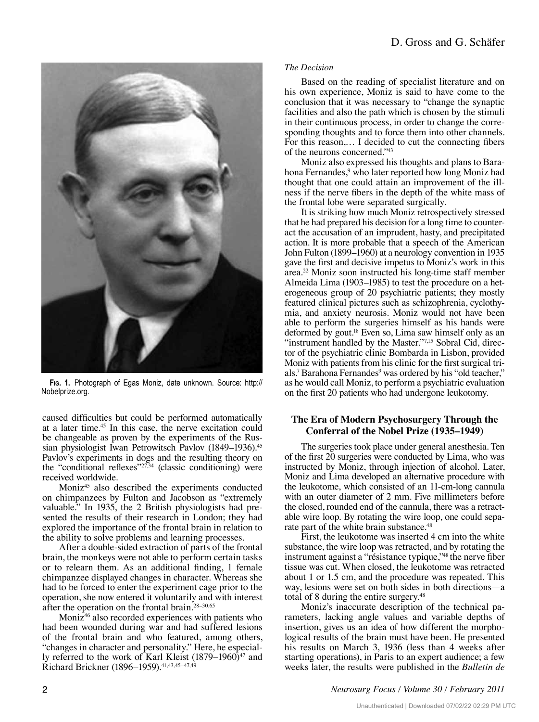

**Fig. 1.** Photograph of Egas Moniz, date unknown. Source: http:// Nobelprize.org.

caused difficulties but could be performed automatically at a later time.<sup>45</sup> In this case, the nerve excitation could be changeable as proven by the experiments of the Russian physiologist Iwan Petrowitsch Pavlov (1849-1936).<sup>45</sup> Pavlov's experiments in dogs and the resulting theory on the "conditional reflexes"27,34 (classic conditioning) were received worldwide.

Moniz45 also described the experiments conducted on chimpanzees by Fulton and Jacobson as "extremely valuable." In 1935, the 2 British physiologists had presented the results of their research in London; they had explored the importance of the frontal brain in relation to the ability to solve problems and learning processes.

After a double-sided extraction of parts of the frontal brain, the monkeys were not able to perform certain tasks or to relearn them. As an additional finding, 1 female chimpanzee displayed changes in character. Whereas she had to be forced to enter the experiment cage prior to the operation, she now entered it voluntarily and with interest after the operation on the frontal brain.28–30,65

Moniz46 also recorded experiences with patients who had been wounded during war and had suffered lesions of the frontal brain and who featured, among others, "changes in character and personality." Here, he especially referred to the work of Karl Kleist  $(1879-1960)^{47}$  and Richard Brickner (1896–1959).<sup>41,43,45–47,49</sup>

#### *The Decision*

Based on the reading of specialist literature and on his own experience, Moniz is said to have come to the conclusion that it was necessary to "change the synaptic facilities and also the path which is chosen by the stimuli in their continuous process, in order to change the corresponding thoughts and to force them into other channels. For this reason,… I decided to cut the connecting fibers of the neurons concerned."43

Moniz also expressed his thoughts and plans to Barahona Fernandes,<sup>9</sup> who later reported how long Moniz had thought that one could attain an improvement of the illness if the nerve fibers in the depth of the white mass of the frontal lobe were separated surgically.

It is striking how much Moniz retrospectively stressed that he had prepared his decision for a long time to counteract the accusation of an imprudent, hasty, and precipitated action. It is more probable that a speech of the American John Fulton (1899–1960) at a neurology convention in 1935 gave the first and decisive impetus to Moniz's work in this area.22 Moniz soon instructed his long-time staff member Almeida Lima (1903–1985) to test the procedure on a heterogeneous group of 20 psychiatric patients; they mostly featured clinical pictures such as schizophrenia, cyclothymia, and anxiety neurosis. Moniz would not have been able to perform the surgeries himself as his hands were deformed by gout.18 Even so, Lima saw himself only as an "instrument handled by the Master."7,15 Sobral Cid, director of the psychiatric clinic Bombarda in Lisbon, provided Moniz with patients from his clinic for the first surgical trials.<sup>7</sup> Barahona Fernandes<sup>9</sup> was ordered by his "old teacher," as he would call Moniz, to perform a psychiatric evaluation on the first 20 patients who had undergone leukotomy.

#### **The Era of Modern Psychosurgery Through the Conferral of the Nobel Prize (1935–1949)**

The surgeries took place under general anesthesia. Ten of the first 20 surgeries were conducted by Lima, who was instructed by Moniz, through injection of alcohol. Later, Moniz and Lima developed an alternative procedure with the leukotome, which consisted of an 11-cm-long cannula with an outer diameter of 2 mm. Five millimeters before the closed, rounded end of the cannula, there was a retractable wire loop. By rotating the wire loop, one could separate part of the white brain substance.<sup>48</sup>

First, the leukotome was inserted 4 cm into the white substance, the wire loop was retracted, and by rotating the instrument against a "résistance typique,"48 the nerve fiber tissue was cut. When closed, the leukotome was retracted about 1 or 1.5 cm, and the procedure was repeated. This way, lesions were set on both sides in both directions—a total of 8 during the entire surgery.<sup>48</sup>

Moniz's inaccurate description of the technical parameters, lacking angle values and variable depths of insertion, gives us an idea of how different the morphological results of the brain must have been. He presented his results on March 3, 1936 (less than 4 weeks after starting operations), in Paris to an expert audience; a few weeks later, the results were published in the *Bulletin de*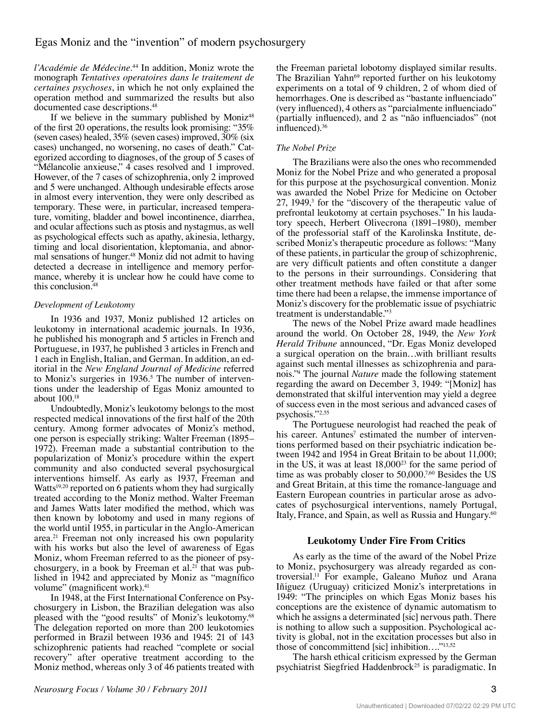# Egas Moniz and the "invention" of modern psychosurgery

*l'Académie de Médecine*. 44 In addition, Moniz wrote the monograph *Tentatives operatoires dans le traitement de certaines psychoses*, in which he not only explained the operation method and summarized the results but also documented case descriptions.48

If we believe in the summary published by Moniz<sup>48</sup> of the first 20 operations, the results look promising: "35% (seven cases) healed, 35% (seven cases) improved, 30% (six cases) unchanged, no worsening, no cases of death." Categorized according to diagnoses, of the group of 5 cases of "Mélancolie anxieuse," 4 cases resolved and 1 improved. However, of the 7 cases of schizophrenia, only 2 improved and 5 were unchanged. Although undesirable effects arose in almost every intervention, they were only described as temporary. These were, in particular, increased temperature, vomiting, bladder and bowel incontinence, diarrhea, and ocular affections such as ptosis and nystagmus, as well as psychological effects such as apathy, akinesia, lethargy, timing and local disorientation, kleptomania, and abnormal sensations of hunger.<sup>48</sup> Moniz did not admit to having detected a decrease in intelligence and memory performance, whereby it is unclear how he could have come to this conclusion.<sup>48</sup>

## *Development of Leukotomy*

In 1936 and 1937, Moniz published 12 articles on leukotomy in international academic journals. In 1936, he published his monograph and 5 articles in French and Portuguese, in 1937, he published 3 articles in French and 1 each in English, Italian, and German. In addition, an editorial in the *New England Journal of Medicine* referred to Moniz's surgeries in 1936.<sup>5</sup> The number of interventions under the leadership of Egas Moniz amounted to about 100.18

Undoubtedly, Moniz's leukotomy belongs to the most respected medical innovations of the first half of the 20th century. Among former advocates of Moniz's method, one person is especially striking: Walter Freeman (1895– 1972). Freeman made a substantial contribution to the popularization of Moniz's procedure within the expert community and also conducted several psychosurgical interventions himself. As early as 1937, Freeman and Watts<sup>19,20</sup> reported on 6 patients whom they had surgically treated according to the Moniz method. Walter Freeman and James Watts later modified the method, which was then known by lobotomy and used in many regions of the world until 1955, in particular in the Anglo-American area.21 Freeman not only increased his own popularity with his works but also the level of awareness of Egas Moniz, whom Freeman referred to as the pioneer of psychosurgery, in a book by Freeman et al.<sup>21</sup> that was published in 1942 and appreciated by Moniz as "magnífico volume" (magnificent work).<sup>41</sup>

In 1948, at the First International Conference on Psychosurgery in Lisbon, the Brazilian delegation was also pleased with the "good results" of Moniz's leukotomy.68 The delegation reported on more than 200 leukotomies performed in Brazil between 1936 and 1945: 21 of 143 schizophrenic patients had reached "complete or social recovery" after operative treatment according to the Moniz method, whereas only 3 of 46 patients treated with

*Neurosurg Focus / Volume 30 / February 2011* 

the Freeman parietal lobotomy displayed similar results. The Brazilian Yahn<sup>69</sup> reported further on his leukotomy experiments on a total of 9 children, 2 of whom died of hemorrhages. One is described as "bastante influenciado" (very influenced), 4 others as "parcialmente influenciado" (partially influenced), and 2 as "não influenciados" (not influenced).<sup>36</sup>

## *The Nobel Prize*

The Brazilians were also the ones who recommended Moniz for the Nobel Prize and who generated a proposal for this purpose at the psychosurgical convention. Moniz was awarded the Nobel Prize for Medicine on October 27, 1949,<sup>3</sup> for the "discovery of the therapeutic value of prefrontal leukotomy at certain psychoses." In his laudatory speech, Herbert Olivecrona (1891–1980), member of the professorial staff of the Karolinska Institute, described Moniz's therapeutic procedure as follows: "Many of these patients, in particular the group of schizophrenic, are very difficult patients and often constitute a danger to the persons in their surroundings. Considering that other treatment methods have failed or that after some time there had been a relapse, the immense importance of Moniz's discovery for the problematic issue of psychiatric treatment is understandable."3

The news of the Nobel Prize award made headlines around the world. On October 28, 1949, the *New York Herald Tribune* announced, "Dr. Egas Moniz developed a surgical operation on the brain…with brilliant results against such mental illnesses as schizophrenia and paranois."4 The journal *Nature* made the following statement regarding the award on December 3, 1949: "[Moniz] has demonstrated that skilful intervention may yield a degree of success even in the most serious and advanced cases of psychosis."2,55

The Portuguese neurologist had reached the peak of his career. Antunes<sup>7</sup> estimated the number of interventions performed based on their psychiatric indication between 1942 and 1954 in Great Britain to be about 11,000; in the US, it was at least 18,00023 for the same period of time as was probably closer to 50,000.7,60 Besides the US and Great Britain, at this time the romance-language and Eastern European countries in particular arose as advocates of psychosurgical interventions, namely Portugal, Italy, France, and Spain, as well as Russia and Hungary.<sup>60</sup>

## **Leukotomy Under Fire From Critics**

As early as the time of the award of the Nobel Prize to Moniz, psychosurgery was already regarded as controversial.11 For example, Galeano Muñoz und Arana Iñiguez (Uruguay) criticized Moniz's interpretations in 1949: "The principles on which Egas Moniz bases his conceptions are the existence of dynamic automatism to which he assigns a determinated [sic] nervous path. There is nothing to allow such a supposition. Psychological activity is global, not in the excitation processes but also in those of concommittend [sic] inhibition…."13,52

The harsh ethical criticism expressed by the German psychiatrist Siegfried Haddenbrock<sup>25</sup> is paradigmatic. In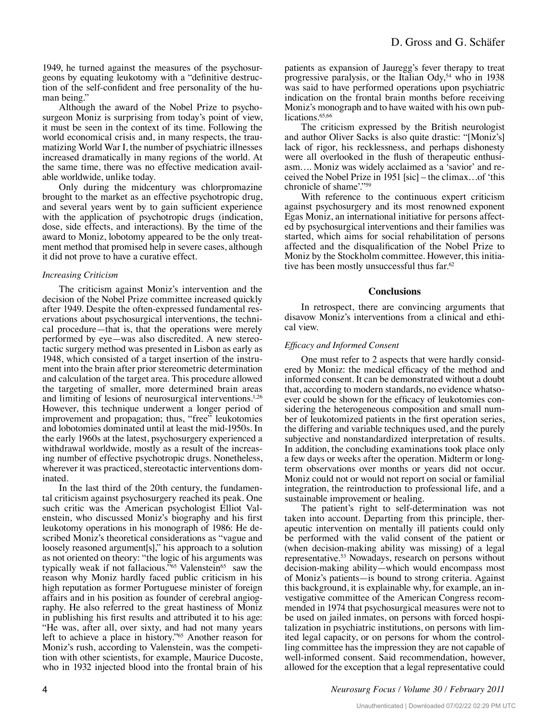1949, he turned against the measures of the psychosurgeons by equating leukotomy with a "definitive destruction of the self-confident and free personality of the human being."

Although the award of the Nobel Prize to psychosurgeon Moniz is surprising from today's point of view, it must be seen in the context of its time. Following the world economical crisis and, in many respects, the traumatizing World War I, the number of psychiatric illnesses increased dramatically in many regions of the world. At the same time, there was no effective medication available worldwide, unlike today.

Only during the midcentury was chlorpromazine brought to the market as an effective psychotropic drug, and several years went by to gain sufficient experience with the application of psychotropic drugs (indication, dose, side effects, and interactions). By the time of the award to Moniz, lobotomy appeared to be the only treatment method that promised help in severe cases, although it did not prove to have a curative effect.

## *Increasing Criticism*

The criticism against Moniz's intervention and the decision of the Nobel Prize committee increased quickly after 1949. Despite the often-expressed fundamental reservations about psychosurgical interventions, the technical procedure—that is, that the operations were merely performed by eye—was also discredited. A new stereotactic surgery method was presented in Lisbon as early as 1948, which consisted of a target insertion of the instrument into the brain after prior stereometric determination and calculation of the target area. This procedure allowed the targeting of smaller, more determined brain areas and limiting of lesions of neurosurgical interventions.<sup>1,26</sup> However, this technique underwent a longer period of improvement and propagation; thus, "free" leukotomies and lobotomies dominated until at least the mid-1950s. In the early 1960s at the latest, psychosurgery experienced a withdrawal worldwide, mostly as a result of the increasing number of effective psychotropic drugs. Nonetheless, wherever it was practiced, stereotactic interventions dominated.

In the last third of the 20th century, the fundamental criticism against psychosurgery reached its peak. One such critic was the American psychologist Elliot Valenstein, who discussed Moniz's biography and his first leukotomy operations in his monograph of 1986: He described Moniz's theoretical considerations as "vague and loosely reasoned argument[s]," his approach to a solution as not oriented on theory: "the logic of his arguments was typically weak if not fallacious."<sup>65</sup> Valenstein<sup>65</sup> saw the reason why Moniz hardly faced public criticism in his high reputation as former Portuguese minister of foreign affairs and in his position as founder of cerebral angiography. He also referred to the great hastiness of Moniz in publishing his first results and attributed it to his age: "He was, after all, over sixty, and had not many years left to achieve a place in history."65 Another reason for Moniz's rush, according to Valenstein, was the competition with other scientists, for example, Maurice Ducoste, who in 1932 injected blood into the frontal brain of his patients as expansion of Jauregg's fever therapy to treat progressive paralysis, or the Italian Ody,54 who in 1938 was said to have performed operations upon psychiatric indication on the frontal brain months before receiving Moniz's monograph and to have waited with his own publications.<sup>65,66</sup>

The criticism expressed by the British neurologist and author Oliver Sacks is also quite drastic: "[Moniz's] lack of rigor, his recklessness, and perhaps dishonesty were all overlooked in the flush of therapeutic enthusiasm…. Moniz was widely acclaimed as a 'savior' and received the Nobel Prize in 1951 [sic] – the climax…of 'this chronicle of shame'."59

With reference to the continuous expert criticism against psychosurgery and its most renowned exponent Egas Moniz, an international initiative for persons affected by psychosurgical interventions and their families was started, which aims for social rehabilitation of persons affected and the disqualification of the Nobel Prize to Moniz by the Stockholm committee. However, this initiative has been mostly unsuccessful thus far.<sup>62</sup>

#### **Conclusions**

In retrospect, there are convincing arguments that disavow Moniz's interventions from a clinical and ethical view.

#### *Efficacy and Informed Consent*

One must refer to 2 aspects that were hardly considered by Moniz: the medical efficacy of the method and informed consent. It can be demonstrated without a doubt that, according to modern standards, no evidence whatsoever could be shown for the efficacy of leukotomies considering the heterogeneous composition and small number of leukotomized patients in the first operation series, the differing and variable techniques used, and the purely subjective and nonstandardized interpretation of results. In addition, the concluding examinations took place only a few days or weeks after the operation. Midterm or longterm observations over months or years did not occur. Moniz could not or would not report on social or familial integration, the reintroduction to professional life, and a sustainable improvement or healing.

The patient's right to self-determination was not taken into account. Departing from this principle, therapeutic intervention on mentally ill patients could only be performed with the valid consent of the patient or (when decision-making ability was missing) of a legal representative.53 Nowadays, research on persons without decision-making ability—which would encompass most of Moniz's patients—is bound to strong criteria. Against this background, it is explainable why, for example, an investigative committee of the American Congress recommended in 1974 that psychosurgical measures were not to be used on jailed inmates, on persons with forced hospitalization in psychiatric institutions, on persons with limited legal capacity, or on persons for whom the controlling committee has the impression they are not capable of well-informed consent. Said recommendation, however, allowed for the exception that a legal representative could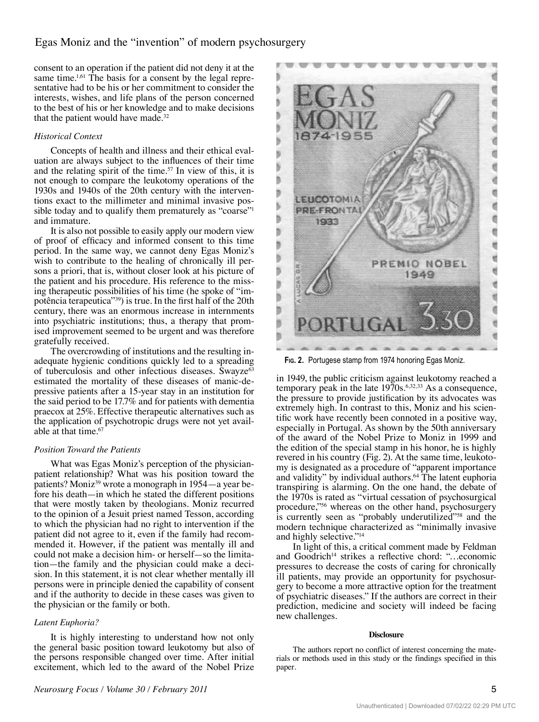# Egas Moniz and the "invention" of modern psychosurgery

consent to an operation if the patient did not deny it at the same time.<sup>1,61</sup> The basis for a consent by the legal representative had to be his or her commitment to consider the interests, wishes, and life plans of the person concerned to the best of his or her knowledge and to make decisions that the patient would have made.32

## *Historical Context*

Concepts of health and illness and their ethical evaluation are always subject to the influences of their time and the relating spirit of the time.<sup>57</sup> In view of this, it is not enough to compare the leukotomy operations of the 1930s and 1940s of the 20th century with the interventions exact to the millimeter and minimal invasive possible today and to qualify them prematurely as "coarse"<sup>1</sup> and immature.

It is also not possible to easily apply our modern view of proof of efficacy and informed consent to this time period. In the same way, we cannot deny Egas Moniz's wish to contribute to the healing of chronically ill persons a priori, that is, without closer look at his picture of the patient and his procedure. His reference to the missing therapeutic possibilities of his time (he spoke of "impotência terapeutica"39) is true. In the first half of the 20th century, there was an enormous increase in internments into psychiatric institutions; thus, a therapy that promised improvement seemed to be urgent and was therefore gratefully received.

The overcrowding of institutions and the resulting inadequate hygienic conditions quickly led to a spreading of tuberculosis and other infectious diseases. Swayze<sup>63</sup> estimated the mortality of these diseases of manic-depressive patients after a 15-year stay in an institution for the said period to be 17.7% and for patients with dementia praecox at 25%. Effective therapeutic alternatives such as the application of psychotropic drugs were not yet available at that time.<sup>67</sup>

#### *Position Toward the Patients*

What was Egas Moniz's perception of the physicianpatient relationship? What was his position toward the patients? Moniz<sup>39</sup> wrote a monograph in 1954—a year before his death—in which he stated the different positions that were mostly taken by theologians. Moniz recurred to the opinion of a Jesuit priest named Tesson, according to which the physician had no right to intervention if the patient did not agree to it, even if the family had recommended it. However, if the patient was mentally ill and could not make a decision him- or herself—so the limitation—the family and the physician could make a decision. In this statement, it is not clear whether mentally ill persons were in principle denied the capability of consent and if the authority to decide in these cases was given to the physician or the family or both.

## *Latent Euphoria?*

It is highly interesting to understand how not only the general basic position toward leukotomy but also of the persons responsible changed over time. After initial excitement, which led to the award of the Nobel Prize



**Fig. 2.** Portugese stamp from 1974 honoring Egas Moniz.

in 1949, the public criticism against leukotomy reached a temporary peak in the late  $1970s^{6,32,33}$  As a consequence, the pressure to provide justification by its advocates was extremely high. In contrast to this, Moniz and his scientific work have recently been connoted in a positive way, especially in Portugal. As shown by the 50th anniversary of the award of the Nobel Prize to Moniz in 1999 and the edition of the special stamp in his honor, he is highly revered in his country (Fig. 2). At the same time, leukotomy is designated as a procedure of "apparent importance and validity" by individual authors.<sup>64</sup> The latent euphoria transpiring is alarming. On the one hand, the debate of the 1970s is rated as "virtual cessation of psychosurgical procedure,"56 whereas on the other hand, psychosurgery is currently seen as "probably underutilized"<sup>58</sup> and the modern technique characterized as "minimally invasive and highly selective."14

In light of this, a critical comment made by Feldman and Goodrich<sup>14</sup> strikes a reflective chord: "...economic pressures to decrease the costs of caring for chronically ill patients, may provide an opportunity for psychosurgery to become a more attractive option for the treatment of psychiatric diseases." If the authors are correct in their prediction, medicine and society will indeed be facing new challenges.

#### **Disclosure**

The authors report no conflict of interest concerning the materials or methods used in this study or the findings specified in this paper.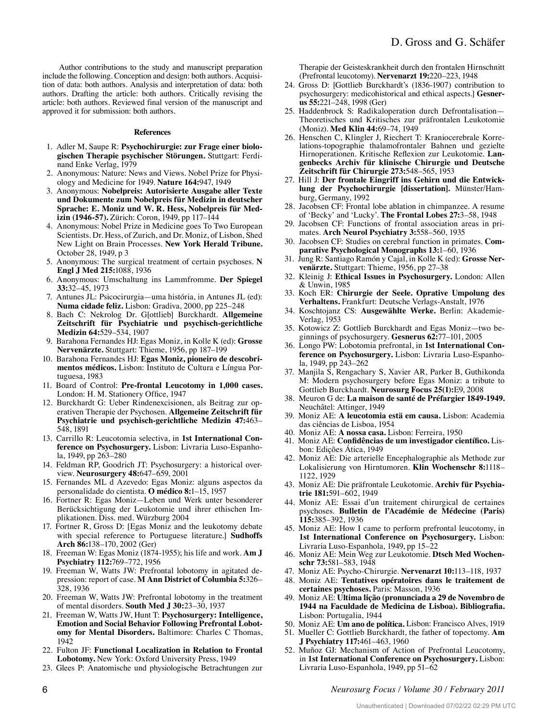Author contributions to the study and manuscript preparation include the following. Conception and design: both authors. Acquisition of data: both authors. Analysis and interpretation of data: both authors. Drafting the article: both authors. Critically revising the article: both authors. Reviewed final version of the manuscript and approved it for submission: both authors.

#### **References**

- 1. Adler M, Saupe R: **Psychochirurgie: zur Frage einer biologischen Therapie psychischer Störungen.** Stuttgart: Ferdinand Enke Verlag, 1979
- 2. Anonymous: Nature: News and Views. Nobel Prize for Physiology and Medicine for 1949. **Nature 164:**947, 1949
- 3. Anonymous: **Nobelpreis: Autorisierte Ausgabe aller Texte und Dokumente zum Nobelpreis für Medizin in deutscher Sprache: E. Moniz und W. R. Hess, Nobelpreis für Medizin (1946-57).** Zürich: Coron, 1949, pp 117–144
- 4. Anonymous: Nobel Prize in Medicine goes To Two European Scientists. Dr. Hess, of Zurich, and Dr. Moniz, of Lisbon, Shed New Light on Brain Processes. **New York Herald Tribune.** October 28, 1949, p 3
- 5. Anonymous: The surgical treatment of certain psychoses. **N Engl J Med 215:**1088, 1936
- 6. Anonymous: Umschaltung ins Lammfromme. **Der Spiegel 33:**32–45, 1973
- 7. Antunes JL: Psicocirurgia—uma história, in Antunes JL (ed): **Numa cidade feliz.** Lisbon: Gradiva, 2000, pp 225–248
- 8. Bach C: Nekrolog Dr. G[ottlieb] Burckhardt. **Allgemeine Zeitschrift für Psychiatrie und psychisch-gerichtliche Medizin 64:**529–534, 1907
- 9. Barahona Fernandes HJ: Egas Moniz, in Kolle K (ed): **Grosse Nervenärzte.** Stuttgart: Thieme, 1956, pp 187–199
- 10. Barahona Fernandes HJ: **Egas Moniz, pioneiro de descobrimentos médicos.** Lisbon: Instituto de Cultura e Língua Portuguesa, 1983
- 11. Board of Control: **Pre-frontal Leucotomy in 1,000 cases.** London: H. M. Stationery Office, 1947
- 12. Burckhardt G: Ueber Rindenexcisionen, als Beitrag zur operativen Therapie der Psychosen. **Allgemeine Zeitschrift für Psychiatrie und psychisch-gerichtliche Medizin 47:**463– 548, 1891
- 13. Carrillo R: Leucotomia selectiva, in **1st International Conference on Psychosurgery.** Lisbon: Livraria Luso-Espanhola, 1949, pp 263–280
- 14. Feldman RP, Goodrich JT: Psychosurgery: a historical overview. **Neurosurgery 48:**647–659, 2001
- 15. Fernandes ML d Azevedo: Egas Moniz: alguns aspectos da personalidade do cientista. **O médico 8:**1–15, 1957
- 16. Fortner R: Egas Moniz—Leben und Werk unter besonderer Berücksichtigung der Leukotomie und ihrer ethischen Implikationen. Diss. med. Würzburg 2004
- 17. Fortner R, Gross D: [Egas Moniz and the leukotomy debate with special reference to Portuguese literature.] **Sudhoffs Arch 86:**138–170, 2002 (Ger)
- 18. Freeman W: Egas Moniz (1874-1955); his life and work. **Am J Psychiatry 112:**769–772, 1956
- 19. Freeman W, Watts JW: Prefrontal lobotomy in agitated depression: report of case. **M Ann District of Columbia 5:**326– 328, 1936
- 20. Freeman W, Watts JW: Prefrontal lobotomy in the treatment of mental disorders. **South Med J 30:**23–30, 1937
- 21. Freeman W, Watts JW, Hunt T: **Psychosurgery: Intelligence, Emotion and Social Behavior Following Prefrontal Lobotomy for Mental Disorders.** Baltimore: Charles C Thomas, 1942
- 22. Fulton JF: **Functional Localization in Relation to Frontal Lobotomy.** New York: Oxford University Press, 1949
- 23. Glees P: Anatomische und physiologische Betrachtungen zur

Therapie der Geisteskrankheit durch den frontalen Hirnschnitt (Prefrontal leucotomy). **Nervenarzt 19:**220–223, 1948

- 24. Gross D: [Gottlieb Burckhardt's (1836-1907) contribution to psychosurgery: medicohistorical and ethical aspects.] **Gesnerus 55:**221–248, 1998 (Ger)
- 25. Haddenbrock S: Radikaloperation durch Defrontalisation— Theoretisches und Kritisches zur präfrontalen Leukotomie (Moniz). **Med Klin 44:**69–74, 1949
- 26. Henschen C, Klingler J, Riechert T: Kraniocerebrale Korrelations-topographie thalamofrontaler Bahnen und gezielte Hirnoperationen. Kritische Reflexion zur Leukotomie. **Langenbecks Archiv für klinische Chirurgie und Deutsche Zeitschrift für Chirurgie 273:**548–565, 1953
- 27. Hill J: **Der frontale Eingriff ins Gehirn und die Entwicklung der Psychochirurgie [dissertation].** Münster/Hamburg, Germany, 1992
- 28. Jacobsen CF: Frontal lobe ablation in chimpanzee. A resume of 'Becky' and 'Lucky'. **The Frontal Lobes 27:**3–58, 1948
- 29. Jacobsen CF: Functions of frontal association areas in primates. **Arch Neurol Psychiatry 3:**558–560, 1935
- 30. Jacobsen CF: Studies on cerebral function in primates. **Comparative Psychological Monographs 13:**1–60, 1936
- 31. Jung R: Santiago Ramón y Cajal, in Kolle K (ed): **Grosse Nervenärzte.** Stuttgart: Thieme, 1956, pp 27–38
- 32. Kleinig J: **Ethical Issues in Psychosurgery.** London: Allen & Unwin, 1985
- 33. Koch ER: **Chirurgie der Seele. Oprative Umpolung des Verhaltens.** Frankfurt: Deutsche Verlags-Anstalt, 1976
- 34. Koschtojanz CS: **Ausgewählte Werke.** Berlin: Akademie-Verlag, 1953
- 35. Kotowicz Z: Gottlieb Burckhardt and Egas Moniz—two beginnings of psychosurgery. **Gesnerus 62:**77–101, 2005
- 36. Longo PW: Lobotomia prefrontal, in **1st International Conference on Psychosurgery.** Lisbon: Livraria Luso-Espanhola, 1949, pp 243–262
- 37. Manjila S, Rengachary S, Xavier AR, Parker B, Guthikonda M: Modern psychosurgery before Egas Moniz: a tribute to Gottlieb Burckhardt. **Neurosurg Focus 25(1):**E9, 2008
- 38. Meuron G de: **La maison de santé de Préfargier 1849-1949.** Neuchâtel: Attinger, 1949
- 39. Moniz AE: **A leucotomia estä em causa.** Lisbon: Academia das ciências de Lisboa, 1954
- 40. Moniz AE: **A nossa casa.** Lisbon: Ferreira, 1950
- 41. Moniz AE: **Confidências de um investigador científico.** Lisbon: Edições Ática, 1949
- 42. Moniz AE: Die arterielle Encephalographie als Methode zur Lokalisierung von Hirntumoren. **Klin Wochenschr 8:**1118– 1122, 1929
- 43. Moniz AE: Die präfrontale Leukotomie. **Archiv für Psychiatrie 181:**591–602, 1949
- 44. Moniz AE: Essai d'un traitement chirurgical de certaines psychoses. **Bulletin de l'Académie de Médecine (Paris) 115:**385–392, 1936
- 45. Moniz AE: How I came to perform prefrontal leucotomy, in **1st International Conference on Psychosurgery.** Lisbon: Livraria Luso-Espanhola, 1949, pp 15–22
- 46. Moniz AE: Mein Weg zur Leukotomie. **Dtsch Med Wochenschr 73:**581–583, 1948
- 47. Moniz AE: Psycho-Chirurgie. **Nervenarzt 10:**113–118, 1937
- 48. Moniz AE: **Tentatives opératoires dans le traitement de certaines psychoses.** Paris: Masson, 1936
- 49. Moniz AE: **Ultima lição (pronunciada a 29 de Novembro de 1944 na Faculdade de Medicina de Lisboa). Bibliografia.** Lisbon: Portugalia, 1944
- 50. Moniz AE: **Um ano de política.** Lisbon: Francisco Alves, 1919
- 51. Mueller C: Gottlieb Burckhardt, the father of topectomy. **Am J Psychiatry 117:**461–463, 1960
- 52. Muñoz GJ: Mechanism of Action of Prefrontal Leucotomy, in **1st International Conference on Psychosurgery.** Lisbon: Livraria Luso-Espanhola, 1949, pp 51–62